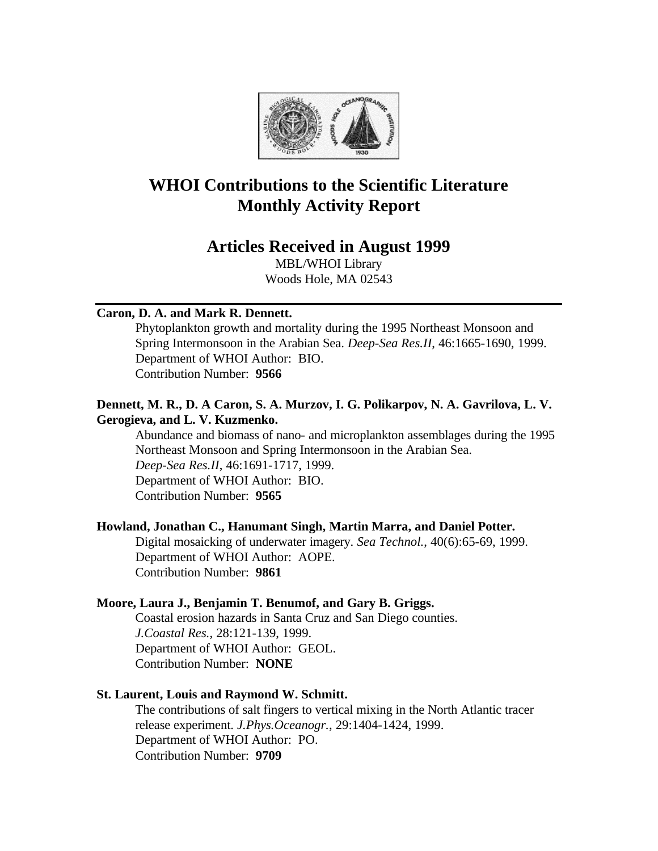

# **WHOI Contributions to the Scientific Literature Monthly Activity Report**

# **Articles Received in August 1999**

MBL/WHOI Library Woods Hole, MA 02543

### **Caron, D. A. and Mark R. Dennett.**

Phytoplankton growth and mortality during the 1995 Northeast Monsoon and Spring Intermonsoon in the Arabian Sea. *Deep-Sea Res.II*, 46:1665-1690, 1999. Department of WHOI Author: BIO. Contribution Number: **9566**

### **Dennett, M. R., D. A Caron, S. A. Murzov, I. G. Polikarpov, N. A. Gavrilova, L. V. Gerogieva, and L. V. Kuzmenko.**

Abundance and biomass of nano- and microplankton assemblages during the 1995 Northeast Monsoon and Spring Intermonsoon in the Arabian Sea. *Deep-Sea Res.II*, 46:1691-1717, 1999. Department of WHOI Author: BIO. Contribution Number: **9565**

### **Howland, Jonathan C., Hanumant Singh, Martin Marra, and Daniel Potter.**

Digital mosaicking of underwater imagery. *Sea Technol.*, 40(6):65-69, 1999. Department of WHOI Author: AOPE. Contribution Number: **9861**

#### **Moore, Laura J., Benjamin T. Benumof, and Gary B. Griggs.**

Coastal erosion hazards in Santa Cruz and San Diego counties. *J.Coastal Res.*, 28:121-139, 1999. Department of WHOI Author: GEOL. Contribution Number: **NONE**

#### **St. Laurent, Louis and Raymond W. Schmitt.**

The contributions of salt fingers to vertical mixing in the North Atlantic tracer release experiment. *J.Phys.Oceanogr.*, 29:1404-1424, 1999. Department of WHOI Author: PO. Contribution Number: **9709**